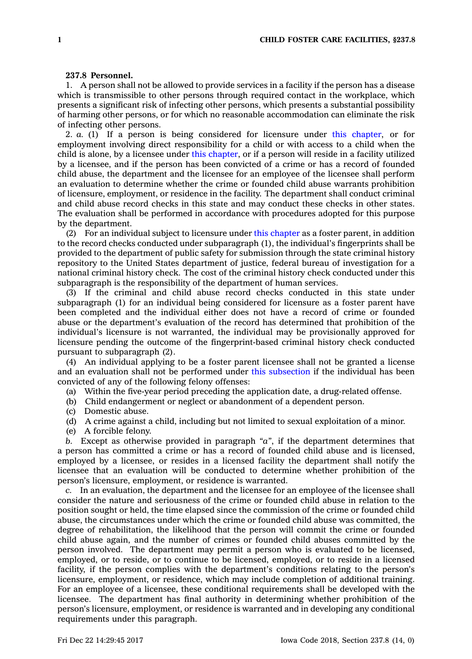## **237.8 Personnel.**

1. A person shall not be allowed to provide services in <sup>a</sup> facility if the person has <sup>a</sup> disease which is transmissible to other persons through required contact in the workplace, which presents <sup>a</sup> significant risk of infecting other persons, which presents <sup>a</sup> substantial possibility of harming other persons, or for which no reasonable accommodation can eliminate the risk of infecting other persons.

2. *a.* (1) If <sup>a</sup> person is being considered for licensure under this [chapter](https://www.legis.iowa.gov/docs/code//237.pdf), or for employment involving direct responsibility for <sup>a</sup> child or with access to <sup>a</sup> child when the child is alone, by <sup>a</sup> licensee under this [chapter](https://www.legis.iowa.gov/docs/code//237.pdf), or if <sup>a</sup> person will reside in <sup>a</sup> facility utilized by <sup>a</sup> licensee, and if the person has been convicted of <sup>a</sup> crime or has <sup>a</sup> record of founded child abuse, the department and the licensee for an employee of the licensee shall perform an evaluation to determine whether the crime or founded child abuse warrants prohibition of licensure, employment, or residence in the facility. The department shall conduct criminal and child abuse record checks in this state and may conduct these checks in other states. The evaluation shall be performed in accordance with procedures adopted for this purpose by the department.

(2) For an individual subject to licensure under this [chapter](https://www.legis.iowa.gov/docs/code//237.pdf) as <sup>a</sup> foster parent, in addition to the record checks conducted under subparagraph (1), the individual's fingerprints shall be provided to the department of public safety for submission through the state criminal history repository to the United States department of justice, federal bureau of investigation for <sup>a</sup> national criminal history check. The cost of the criminal history check conducted under this subparagraph is the responsibility of the department of human services.

(3) If the criminal and child abuse record checks conducted in this state under subparagraph (1) for an individual being considered for licensure as <sup>a</sup> foster parent have been completed and the individual either does not have <sup>a</sup> record of crime or founded abuse or the department's evaluation of the record has determined that prohibition of the individual's licensure is not warranted, the individual may be provisionally approved for licensure pending the outcome of the fingerprint-based criminal history check conducted pursuant to subparagraph (2).

(4) An individual applying to be <sup>a</sup> foster parent licensee shall not be granted <sup>a</sup> license and an evaluation shall not be performed under this [subsection](https://www.legis.iowa.gov/docs/code/237.8.pdf) if the individual has been convicted of any of the following felony offenses:

(a) Within the five-year period preceding the application date, <sup>a</sup> drug-related offense.

- (b) Child endangerment or neglect or abandonment of <sup>a</sup> dependent person.
- (c) Domestic abuse.

(d) A crime against <sup>a</sup> child, including but not limited to sexual exploitation of <sup>a</sup> minor.

(e) A forcible felony.

*b.* Except as otherwise provided in paragraph *"a"*, if the department determines that <sup>a</sup> person has committed <sup>a</sup> crime or has <sup>a</sup> record of founded child abuse and is licensed, employed by <sup>a</sup> licensee, or resides in <sup>a</sup> licensed facility the department shall notify the licensee that an evaluation will be conducted to determine whether prohibition of the person's licensure, employment, or residence is warranted.

*c.* In an evaluation, the department and the licensee for an employee of the licensee shall consider the nature and seriousness of the crime or founded child abuse in relation to the position sought or held, the time elapsed since the commission of the crime or founded child abuse, the circumstances under which the crime or founded child abuse was committed, the degree of rehabilitation, the likelihood that the person will commit the crime or founded child abuse again, and the number of crimes or founded child abuses committed by the person involved. The department may permit <sup>a</sup> person who is evaluated to be licensed, employed, or to reside, or to continue to be licensed, employed, or to reside in <sup>a</sup> licensed facility, if the person complies with the department's conditions relating to the person's licensure, employment, or residence, which may include completion of additional training. For an employee of <sup>a</sup> licensee, these conditional requirements shall be developed with the licensee. The department has final authority in determining whether prohibition of the person's licensure, employment, or residence is warranted and in developing any conditional requirements under this paragraph.